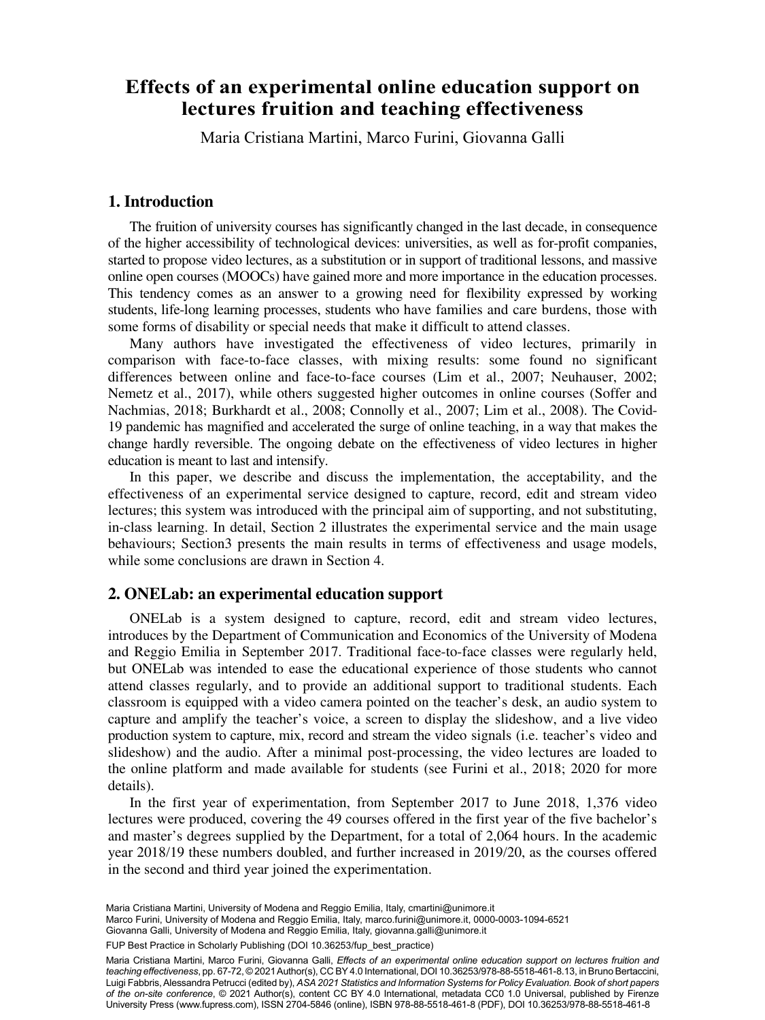# **on lectures fruition and teaching effectiveness lectures fruition and teaching effectiveness Effects of an experimental online education support on**

Maria Cristiana Martini, Marco Furini, Giovanna Galli

## **1. Introduction**

The fruition of university courses has significantly changed in the last decade, in consequence of the higher accessibility of technological devices: universities, as well as for-profit companies, started to propose video lectures, as a substitution or in support of traditional lessons, and massive online open courses (MOOCs) have gained more and more importance in the education processes. This tendency comes as an answer to a growing need for flexibility expressed by working students, life-long learning processes, students who have families and care burdens, those with some forms of disability or special needs that make it difficult to attend classes.

Many authors have investigated the effectiveness of video lectures, primarily in comparison with face-to-face classes, with mixing results: some found no significant differences between online and face-to-face courses (Lim et al., 2007; Neuhauser, 2002; Nemetz et al., 2017), while others suggested higher outcomes in online courses (Soffer and Nachmias, 2018; Burkhardt et al., 2008; Connolly et al., 2007; Lim et al., 2008). The Covid-19 pandemic has magnified and accelerated the surge of online teaching, in a way that makes the change hardly reversible. The ongoing debate on the effectiveness of video lectures in higher education is meant to last and intensify.

In this paper, we describe and discuss the implementation, the acceptability, and the effectiveness of an experimental service designed to capture, record, edit and stream video lectures; this system was introduced with the principal aim of supporting, and not substituting, in-class learning. In detail, Section 2 illustrates the experimental service and the main usage behaviours; Section3 presents the main results in terms of effectiveness and usage models, while some conclusions are drawn in Section 4.

### **2. ONELab: an experimental education support**

ONELab is a system designed to capture, record, edit and stream video lectures, introduces by the Department of Communication and Economics of the University of Modena and Reggio Emilia in September 2017. Traditional face-to-face classes were regularly held, but ONELab was intended to ease the educational experience of those students who cannot attend classes regularly, and to provide an additional support to traditional students. Each classroom is equipped with a video camera pointed on the teacher's desk, an audio system to capture and amplify the teacher's voice, a screen to display the slideshow, and a live video production system to capture, mix, record and stream the video signals (i.e. teacher's video and slideshow) and the audio. After a minimal post-processing, the video lectures are loaded to the online platform and made available for students (see Furini et al., 2018; 2020 for more details).

In the first year of experimentation, from September 2017 to June 2018, 1,376 video lectures were produced, covering the 49 courses offered in the first year of the five bachelor's and master's degrees supplied by the Department, for a total of 2,064 hours. In the academic year 2018/19 these numbers doubled, and further increased in 2019/20, as the courses offered in the second and third year joined the experimentation.

Maria Cristiana Martini, University of Modena and Reggio Emilia, Italy, [cmartini@unimore.it](mailto:cmartini@unimore.it)

Marco Furini, University of Modena and Reggio Emilia, Italy, [marco.furini@unimore.it](mailto:marco.furini@unimore.it), [0000-0003-1094-6521](https://orcid.org/0000-0003-1094-6521)

FUP Best Practice in Scholarly Publishing (DOI [10.36253/fup\\_best\\_practice](https://doi.org/10.36253/fup_best_practice))

Maria Cristiana Martini, Marco Furini, Giovanna Galli, *Effects of an experimental online education support on lectures fruition and teaching effectiveness*, pp. 67-72, © 2021 Author(s), [CC BY 4.0 International,](http://creativecommons.org/licenses/by/4.0/legalcode) DOI [10.36253/978-88-5518-461-8.13](https://doi.org/10.36253/978-88-5518-461-8.13), in Bruno Bertaccini, Luigi Fabbris, Alessandra Petrucci (edited by), *ASA 2021 Statistics and Information Systems for Policy Evaluation. Book of short papers of the on-site conference*, © 2021 Author(s), content [CC BY 4.0 International,](http://creativecommons.org/licenses/by/4.0/legalcode) metadata [CC0 1.0 Universal](https://creativecommons.org/publicdomain/zero/1.0/legalcode), published by Firenze University Press ([www.fupress.com\)](http://www.fupress.com), ISSN 2704-5846 (online), ISBN 978-88-5518-461-8 (PDF), DOI [10.36253/978-88-5518-461-8](https://doi.org/10.36253/978-88-5518-461-8)

<sup>57</sup> Giovanna Galli, University of Modena and Reggio Emilia, Italy, [giovanna.galli@unimore.it](mailto:giovanna.galli@unimore.it)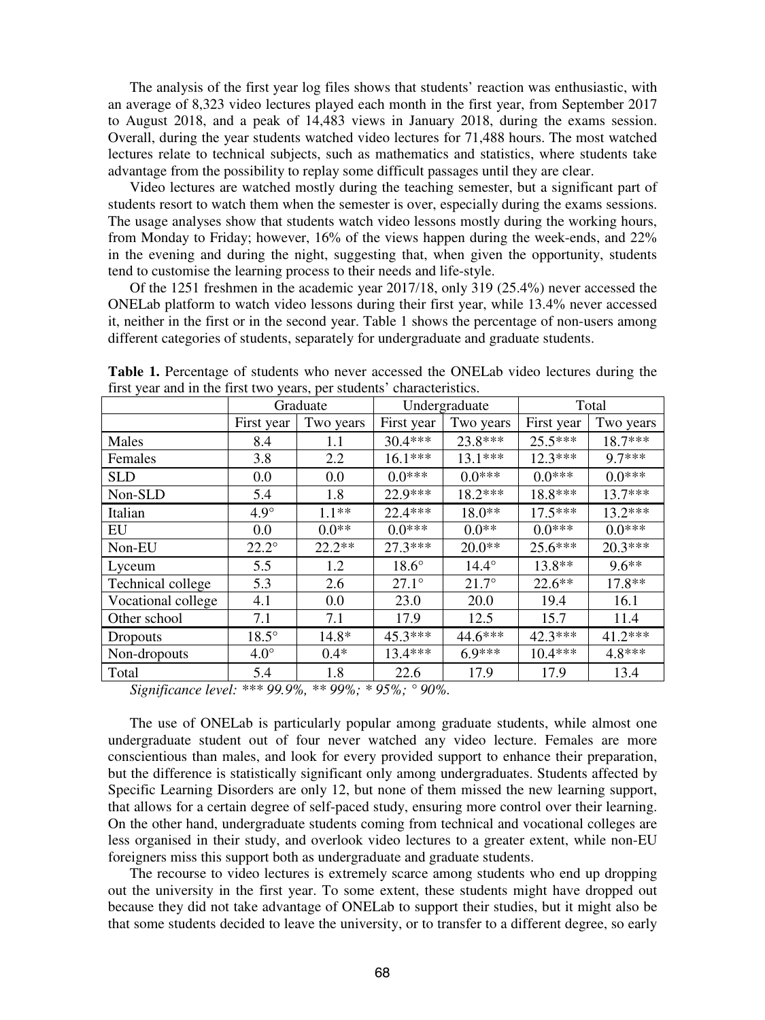The analysis of the first year log files shows that students' reaction was enthusiastic, with an average of 8,323 video lectures played each month in the first year, from September 2017 to August 2018, and a peak of 14,483 views in January 2018, during the exams session. Overall, during the year students watched video lectures for 71,488 hours. The most watched lectures relate to technical subjects, such as mathematics and statistics, where students take advantage from the possibility to replay some difficult passages until they are clear.

Video lectures are watched mostly during the teaching semester, but a significant part of students resort to watch them when the semester is over, especially during the exams sessions. The usage analyses show that students watch video lessons mostly during the working hours, from Monday to Friday; however, 16% of the views happen during the week-ends, and 22% in the evening and during the night, suggesting that, when given the opportunity, students tend to customise the learning process to their needs and life-style.

Of the 1251 freshmen in the academic year 2017/18, only 319 (25.4%) never accessed the ONELab platform to watch video lessons during their first year, while 13.4% never accessed it, neither in the first or in the second year. Table 1 shows the percentage of non-users among different categories of students, separately for undergraduate and graduate students.

|                    | Graduate       |           |              | Undergraduate | Total      |           |
|--------------------|----------------|-----------|--------------|---------------|------------|-----------|
|                    | First year     | Two years | First year   | Two years     | First year | Two years |
| Males              | 8.4            | 1.1       | $30.4***$    | 23.8***       | $25.5***$  | 18.7***   |
| Females            | 3.8            | 2.2       | $16.1***$    | $13.1***$     | $12.3***$  | $9.7***$  |
| <b>SLD</b>         | 0.0            | 0.0       | $0.0***$     | $0.0***$      | $0.0***$   | $0.0***$  |
| Non-SLD            | 5.4            | 1.8       | 22.9***      | $18.2***$     | 18.8***    | $13.7***$ |
| Italian            | $4.9^\circ$    | $1.1**$   | 22.4 ***     | 18.0**        | $17.5***$  | $13.2***$ |
| EU                 | 0.0            | $0.0**$   | $0.0***$     | $0.0**$       | $0.0***$   | $0.0***$  |
| Non-EU             | $22.2^{\circ}$ | $22.2**$  | 27.3***      | $20.0**$      | $25.6***$  | $20.3***$ |
| Lyceum             | 5.5            | 1.2       | $18.6^\circ$ | $14.4^\circ$  | $13.8**$   | $9.6**$   |
| Technical college  | 5.3            | 2.6       | $27.1^\circ$ | $21.7^\circ$  | $22.6**$   | 17.8**    |
| Vocational college | 4.1            | 0.0       | 23.0         | 20.0          | 19.4       | 16.1      |
| Other school       | 7.1            | 7.1       | 17.9         | 12.5          | 15.7       | 11.4      |
| Dropouts           | $18.5^\circ$   | $14.8*$   | $45.3***$    | 44.6***       | $42.3***$  | $41.2***$ |
| Non-dropouts       | $4.0^\circ$    | $0.4*$    | $13.4***$    | $6.9***$      | $10.4***$  | 4.8***    |
| Total              | 5.4            | 1.8       | 22.6         | 17.9          | 17.9       | 13.4      |

**Table 1.** Percentage of students who never accessed the ONELab video lectures during the first year and in the first two years, per students' characteristics.

*Significance level: \*\*\* 99.9%, \*\* 99%; \* 95%; ° 90%.* 

The use of ONELab is particularly popular among graduate students, while almost one undergraduate student out of four never watched any video lecture. Females are more conscientious than males, and look for every provided support to enhance their preparation, but the difference is statistically significant only among undergraduates. Students affected by Specific Learning Disorders are only 12, but none of them missed the new learning support, that allows for a certain degree of self-paced study, ensuring more control over their learning. On the other hand, undergraduate students coming from technical and vocational colleges are less organised in their study, and overlook video lectures to a greater extent, while non-EU foreigners miss this support both as undergraduate and graduate students.

The recourse to video lectures is extremely scarce among students who end up dropping out the university in the first year. To some extent, these students might have dropped out because they did not take advantage of ONELab to support their studies, but it might also be that some students decided to leave the university, or to transfer to a different degree, so early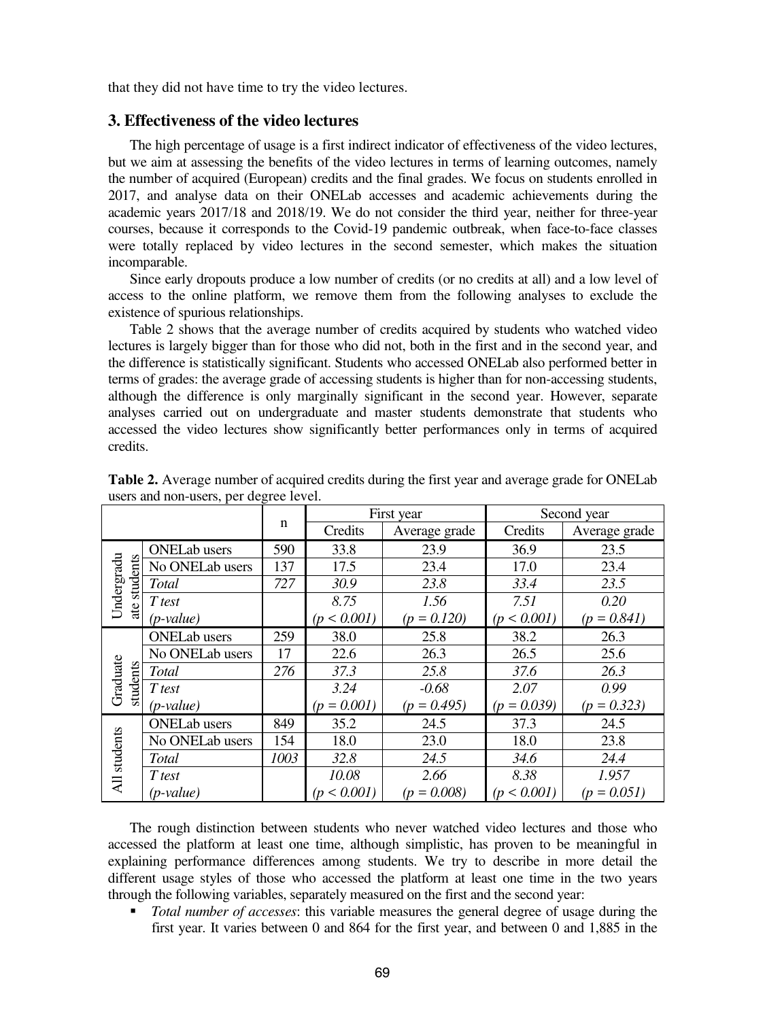that they did not have time to try the video lectures.

#### **3. Effectiveness of the video lectures**

The high percentage of usage is a first indirect indicator of effectiveness of the video lectures, but we aim at assessing the benefits of the video lectures in terms of learning outcomes, namely the number of acquired (European) credits and the final grades. We focus on students enrolled in 2017, and analyse data on their ONELab accesses and academic achievements during the academic years 2017/18 and 2018/19. We do not consider the third year, neither for three-year courses, because it corresponds to the Covid-19 pandemic outbreak, when face-to-face classes were totally replaced by video lectures in the second semester, which makes the situation incomparable.

Since early dropouts produce a low number of credits (or no credits at all) and a low level of access to the online platform, we remove them from the following analyses to exclude the existence of spurious relationships.

Table 2 shows that the average number of credits acquired by students who watched video lectures is largely bigger than for those who did not, both in the first and in the second year, and the difference is statistically significant. Students who accessed ONELab also performed better in terms of grades: the average grade of accessing students is higher than for non-accessing students, although the difference is only marginally significant in the second year. However, separate analyses carried out on undergraduate and master students demonstrate that students who accessed the video lectures show significantly better performances only in terms of acquired credits.

|                        |                     |      |               | First year      | Second year       |               |  |
|------------------------|---------------------|------|---------------|-----------------|-------------------|---------------|--|
|                        |                     | n    | Credits       | Average grade   | Credits           | Average grade |  |
|                        | <b>ONELab</b> users | 590  | 33.8          | 23.9            | 36.9              | 23.5          |  |
| Undergradu<br>students | No ONELab users     | 137  | 17.5          | 23.4            | 17.0              | 23.4          |  |
|                        | Total               | 727  | 30.9          | 23.8            | 33.4              | 23.5          |  |
| ate                    | T test              |      | 8.75          | 1.56            | 7.51              | 0.20          |  |
|                        | $(p-value)$         |      | (p < 0.001)   | $(p = 0.120)$   | $< 0.001$ )<br>(n | $(p = 0.841)$ |  |
|                        | <b>ONELab</b> users | 259  | 38.0          | 25.8            | 38.2              | 26.3          |  |
|                        | No ONELab users     | 17   | 22.6          | 26.3            | 26.5              | 25.6          |  |
| Graduate<br>students   | Total               | 276  | 37.3          | 25.8            | 37.6              | 26.3          |  |
|                        | T test              |      | 3.24          | $-0.68$         | 2.07              | 0.99          |  |
|                        | $(p-value)$         |      | $(p = 0.001)$ | $(p = 0.495)$   | $(p = 0.039)$     | $(p = 0.323)$ |  |
|                        | <b>ONELab</b> users | 849  | 35.2          | 24.5            | 37.3              | 24.5          |  |
|                        | No ONELab users     | 154  | 18.0          | 23.0            | 18.0              | 23.8          |  |
|                        | <b>Total</b>        | 1003 | 32.8          | 24.5            | 34.6              | 24.4          |  |
| All students           | T test              |      | 10.08         | 2.66            | 8.38              | 1.957         |  |
|                        | (p-value)           |      | (p < 0.001)   | $= 0.008$<br>(n | $< 0.001$ )<br>(n | $(p = 0.051)$ |  |

**Table 2.** Average number of acquired credits during the first year and average grade for ONELab users and non-users, per degree level.

The rough distinction between students who never watched video lectures and those who accessed the platform at least one time, although simplistic, has proven to be meaningful in explaining performance differences among students. We try to describe in more detail the different usage styles of those who accessed the platform at least one time in the two years through the following variables, separately measured on the first and the second year:

 *Total number of accesses*: this variable measures the general degree of usage during the first year. It varies between 0 and 864 for the first year, and between 0 and 1,885 in the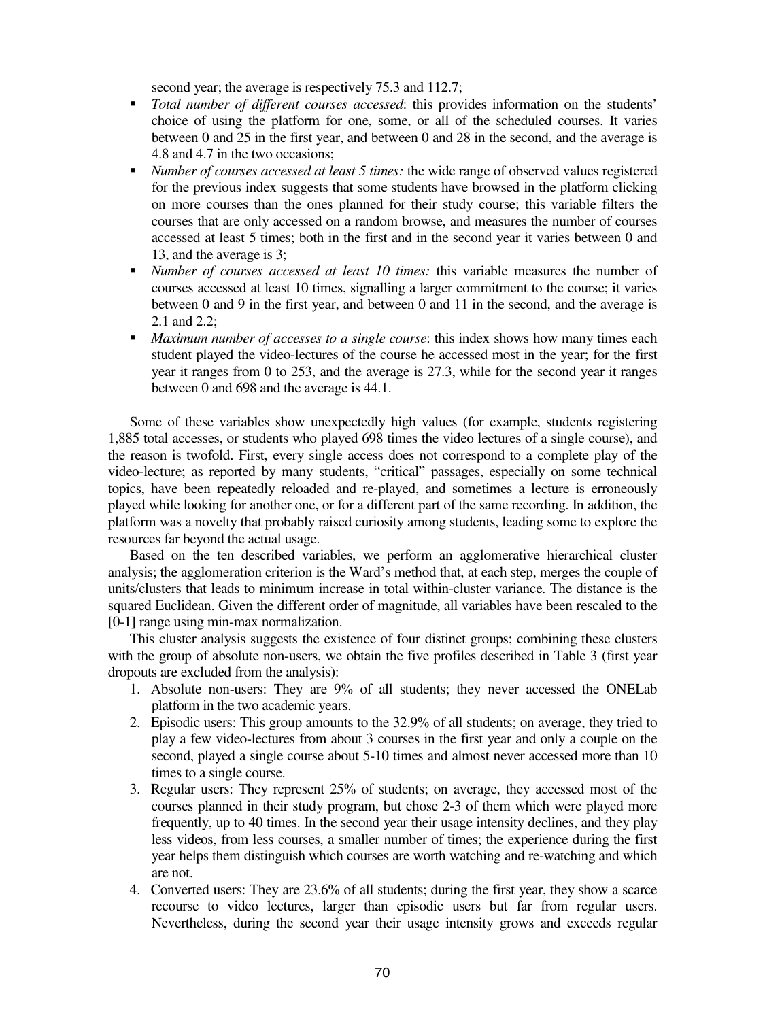second year; the average is respectively 75.3 and 112.7;

- *Total number of different courses accessed*: this provides information on the students' choice of using the platform for one, some, or all of the scheduled courses. It varies between 0 and 25 in the first year, and between 0 and 28 in the second, and the average is 4.8 and 4.7 in the two occasions;
- *Number of courses accessed at least 5 times:* the wide range of observed values registered for the previous index suggests that some students have browsed in the platform clicking on more courses than the ones planned for their study course; this variable filters the courses that are only accessed on a random browse, and measures the number of courses accessed at least 5 times; both in the first and in the second year it varies between 0 and 13, and the average is 3;
- *Number of courses accessed at least 10 times:* this variable measures the number of courses accessed at least 10 times, signalling a larger commitment to the course; it varies between 0 and 9 in the first year, and between 0 and 11 in the second, and the average is 2.1 and 2.2;
- *Maximum number of accesses to a single course*: this index shows how many times each student played the video-lectures of the course he accessed most in the year; for the first year it ranges from 0 to 253, and the average is 27.3, while for the second year it ranges between 0 and 698 and the average is 44.1.

Some of these variables show unexpectedly high values (for example, students registering 1,885 total accesses, or students who played 698 times the video lectures of a single course), and the reason is twofold. First, every single access does not correspond to a complete play of the video-lecture; as reported by many students, "critical" passages, especially on some technical topics, have been repeatedly reloaded and re-played, and sometimes a lecture is erroneously played while looking for another one, or for a different part of the same recording. In addition, the platform was a novelty that probably raised curiosity among students, leading some to explore the resources far beyond the actual usage.

Based on the ten described variables, we perform an agglomerative hierarchical cluster analysis; the agglomeration criterion is the Ward's method that, at each step, merges the couple of units/clusters that leads to minimum increase in total within-cluster variance. The distance is the squared Euclidean. Given the different order of magnitude, all variables have been rescaled to the [0-1] range using min-max normalization.

This cluster analysis suggests the existence of four distinct groups; combining these clusters with the group of absolute non-users, we obtain the five profiles described in Table 3 (first year dropouts are excluded from the analysis):

- 1. Absolute non-users: They are 9% of all students; they never accessed the ONELab platform in the two academic years.
- 2. Episodic users: This group amounts to the 32.9% of all students; on average, they tried to play a few video-lectures from about 3 courses in the first year and only a couple on the second, played a single course about 5-10 times and almost never accessed more than 10 times to a single course.
- 3. Regular users: They represent 25% of students; on average, they accessed most of the courses planned in their study program, but chose 2-3 of them which were played more frequently, up to 40 times. In the second year their usage intensity declines, and they play less videos, from less courses, a smaller number of times; the experience during the first year helps them distinguish which courses are worth watching and re-watching and which are not.
- 4. Converted users: They are 23.6% of all students; during the first year, they show a scarce recourse to video lectures, larger than episodic users but far from regular users. Nevertheless, during the second year their usage intensity grows and exceeds regular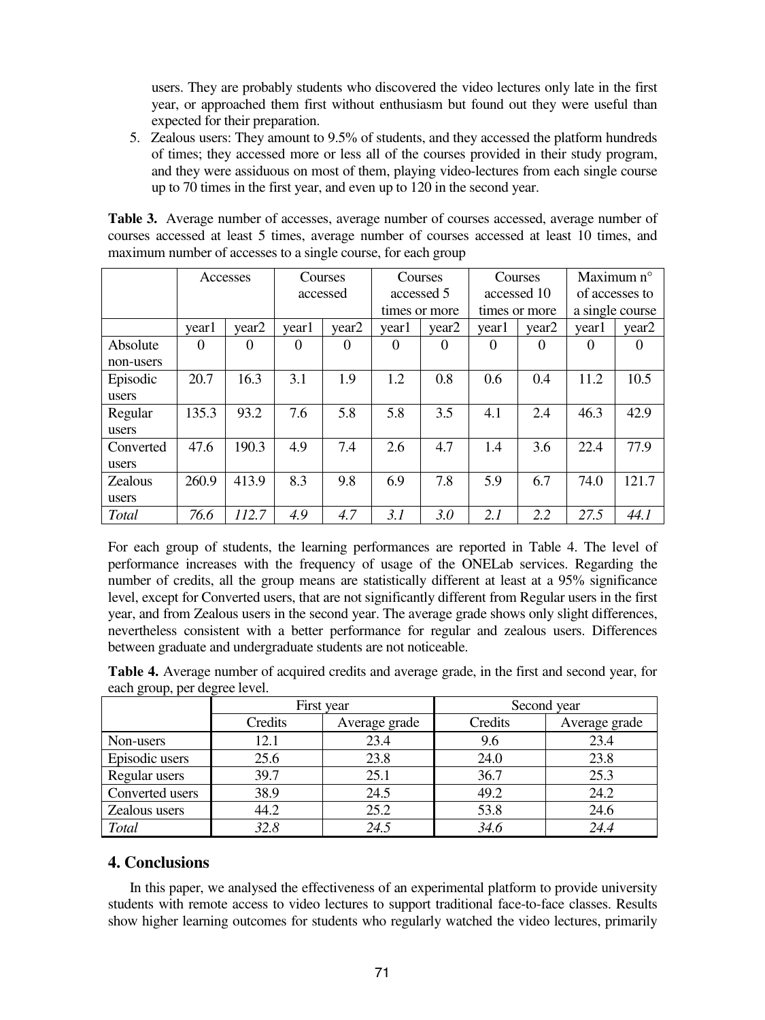users. They are probably students who discovered the video lectures only late in the first year, or approached them first without enthusiasm but found out they were useful than expected for their preparation.

5. Zealous users: They amount to 9.5% of students, and they accessed the platform hundreds of times; they accessed more or less all of the courses provided in their study program, and they were assiduous on most of them, playing video-lectures from each single course up to 70 times in the first year, and even up to 120 in the second year.

| <b>Table 3.</b> Average number of accesses, average number of courses accessed, average number of |
|---------------------------------------------------------------------------------------------------|
| courses accessed at least 5 times, average number of courses accessed at least 10 times, and      |
| maximum number of accesses to a single course, for each group                                     |

|                | Accesses |          | Courses  |                   | Courses       |                   | Courses       |                   | Maximum n°      |          |
|----------------|----------|----------|----------|-------------------|---------------|-------------------|---------------|-------------------|-----------------|----------|
|                |          |          | accessed |                   | accessed 5    |                   | accessed 10   |                   | of accesses to  |          |
|                |          |          |          |                   | times or more |                   | times or more |                   | a single course |          |
|                | year1    | year2    | year1    | year <sub>2</sub> | year1         | year <sub>2</sub> | year1         | year <sub>2</sub> | year1           | year2    |
| Absolute       | $\Omega$ | $\Omega$ | $\Omega$ | $\Omega$          | $\Omega$      | $\Omega$          | $\Omega$      | $\Omega$          | $\Omega$        | $\Omega$ |
| non-users      |          |          |          |                   |               |                   |               |                   |                 |          |
| Episodic       | 20.7     | 16.3     | 3.1      | 1.9               | 1.2           | 0.8               | 0.6           | 0.4               | 11.2            | 10.5     |
| users          |          |          |          |                   |               |                   |               |                   |                 |          |
| Regular        | 135.3    | 93.2     | 7.6      | 5.8               | 5.8           | 3.5               | 4.1           | 2.4               | 46.3            | 42.9     |
| users          |          |          |          |                   |               |                   |               |                   |                 |          |
| Converted      | 47.6     | 190.3    | 4.9      | 7.4               | 2.6           | 4.7               | 1.4           | 3.6               | 22.4            | 77.9     |
| users          |          |          |          |                   |               |                   |               |                   |                 |          |
| <b>Zealous</b> | 260.9    | 413.9    | 8.3      | 9.8               | 6.9           | 7.8               | 5.9           | 6.7               | 74.0            | 121.7    |
| users          |          |          |          |                   |               |                   |               |                   |                 |          |
| Total          | 76.6     | 112.7    | 4.9      | 4.7               | 3.1           | 3.0               | 2.1           | 2.2               | 27.5            | 44.1     |

For each group of students, the learning performances are reported in Table 4. The level of performance increases with the frequency of usage of the ONELab services. Regarding the number of credits, all the group means are statistically different at least at a 95% significance level, except for Converted users, that are not significantly different from Regular users in the first year, and from Zealous users in the second year. The average grade shows only slight differences, nevertheless consistent with a better performance for regular and zealous users. Differences between graduate and undergraduate students are not noticeable.

| <b>Table 4.</b> Average number of acquired credits and average grade, in the first and second year, for |  |
|---------------------------------------------------------------------------------------------------------|--|
| each group, per degree level.                                                                           |  |

|                 |         | First year    | Second year |               |  |
|-----------------|---------|---------------|-------------|---------------|--|
|                 | Credits | Average grade | Credits     | Average grade |  |
| Non-users       | 12.1    | 23.4          | 9.6         | 23.4          |  |
| Episodic users  | 25.6    | 23.8          | 24.0        | 23.8          |  |
| Regular users   | 39.7    | 25.1          | 36.7        | 25.3          |  |
| Converted users | 38.9    | 24.5          | 49.2        | 24.2          |  |
| Zealous users   | 44.2    | 25.2          | 53.8        | 24.6          |  |
| Total           | 32.8    | 24.5          | 34.6        | 24.4          |  |

## **4. Conclusions**

In this paper, we analysed the effectiveness of an experimental platform to provide university students with remote access to video lectures to support traditional face-to-face classes. Results show higher learning outcomes for students who regularly watched the video lectures, primarily